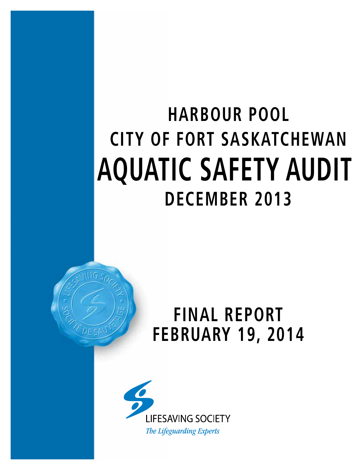# **CITY OF FORT SASKATCHEWAN AQUATIC SAFETY AUDIT DECEMBER 2013 HARBOUR POOL**



## **FINAL REPORT FEBRUARY 19, 2014**

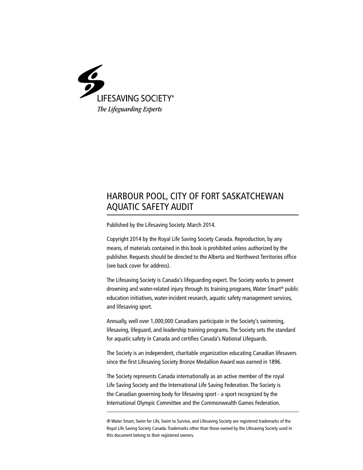

## HARBOUR POOL, CITY OF FORT SASKATCHEWAN AQUATIC SAFETY AUDIT

Published by the Lifesaving Society. March 2014.

Copyright 2014 by the Royal Life Saving Society Canada. Reproduction, by any means, of materials contained in this book is prohibited unless authorized by the publisher. Requests should be directed to the Alberta and Northwest Territories office (see back cover for address).

The Lifesaving Society is Canada's lifeguarding expert. The Society works to prevent drowning and water-related injury through its training programs, Water Smart® public education initiatives, water-incident research, aquatic safety management services, and lifesaving sport.

Annually, well over 1,000,000 Canadians participate in the Society's swimming, lifesaving, lifeguard, and leadership training programs. The Society sets the standard for aquatic safety in Canada and certifies Canada's National Lifeguards.

The Society is an independent, charitable organization educating Canadian lifesavers since the first Lifesaving Society Bronze Medallion Award was earned in 1896.

The Society represents Canada internationally as an active member of the royal Life Saving Society and the International Life Saving Federation. The Society is the Canadian governing body for lifesaving sport - a sport recognized by the International Olympic Committee and the Commonwealth Games Federation.

® Water Smart, Swim for Life, Swim to Survive, and Lifesaving Society are registered trademarks of the Royal Life Saving Society Canada. Trademarks other than those owned by the Lifesaving Society used in this document belong to their registered owners.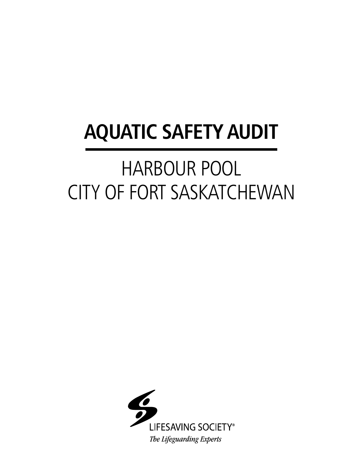# **AQUATIC SAFETY AUDIT**

# HARBOUR POOL CITY OF FORT SASKATCHEWAN

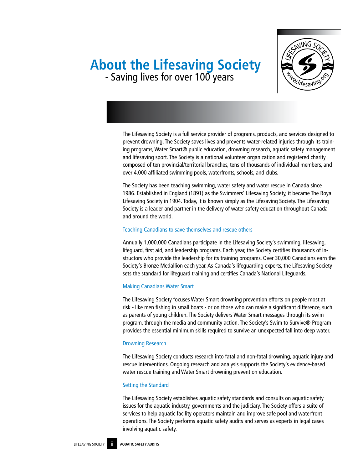# **About the Lifesaving Society** - Saving lives for over 100 years



The Lifesaving Society is a full service provider of programs, products, and services designed to prevent drowning. The Society saves lives and prevents water-related injuries through its training programs, Water Smart® public education, drowning research, aquatic safety management and lifesaving sport. The Society is a national volunteer organization and registered charity composed of ten provincial/territorial branches, tens of thousands of individual members, and over 4,000 affiliated swimming pools, waterfronts, schools, and clubs.

The Society has been teaching swimming, water safety and water rescue in Canada since 1986. Established in England (1891) as the Swimmers' Lifesaving Society, it became The Royal Lifesaving Society in 1904. Today, it is known simply as the Lifesaving Society. The Lifesaving Society is a leader and partner in the delivery of water safety education throughout Canada and around the world.

## Teaching Canadians to save themselves and rescue others

Annually 1,000,000 Canadians participate in the Lifesaving Society's swimming, lifesaving, lifeguard, first aid, and leadership programs. Each year, the Society certifies thousands of instructors who provide the leadership for its training programs. Over 30,000 Canadians earn the Society's Bronze Medallion each year. As Canada's lifeguarding experts, the Lifesaving Society sets the standard for lifeguard training and certifies Canada's National Lifeguards.

## Making Canadians Water Smart

The Lifesaving Society focuses Water Smart drowning prevention efforts on people most at risk - like men fishing in small boats - or on those who can make a significant difference, such as parents of young children. The Society delivers Water Smart messages through its swim program, through the media and community action. The Society's Swim to Survive® Program provides the essential minimum skills required to survive an unexpected fall into deep water.

### Drowning Research

The Lifesaving Society conducts research into fatal and non-fatal drowning, aquatic injury and rescue interventions. Ongoing research and analysis supports the Society's evidence-based water rescue training and Water Smart drowning prevention education.

## Setting the Standard

The Lifesaving Society establishes aquatic safety standards and consults on aquatic safety issues for the aquatic industry, governments and the judiciary. The Society offers a suite of services to help aquatic facility operators maintain and improve safe pool and waterfront operations. The Society performs aquatic safety audits and serves as experts in legal cases involving aquatic safety.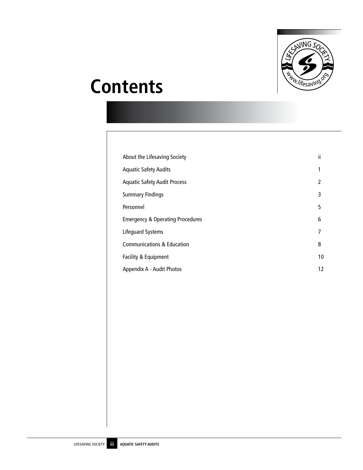

## **Contents**

| About the Lifesaving Society                | ïi |
|---------------------------------------------|----|
| <b>Aquatic Safety Audits</b>                | 1  |
| <b>Aquatic Safety Audit Process</b>         | 2  |
| <b>Summary Findings</b>                     | 3  |
| Personnel                                   | 5  |
| <b>Emergency &amp; Operating Procedures</b> | 6  |
| Lifequard Systems                           | 7  |
| <b>Communications &amp; Education</b>       | 8  |
| Facility & Equipment                        | 10 |
| Appendix A - Audit Photos                   | 12 |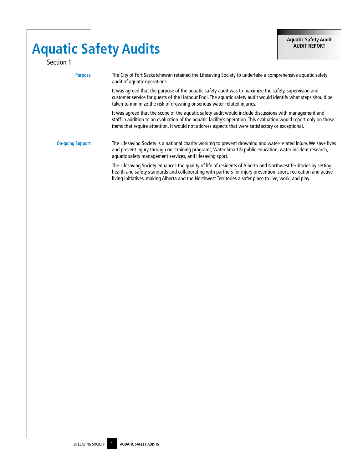## **Aquatic Safety Audits** Section 1

| <b>Purpose</b>          | The City of Fort Saskatchewan retained the Lifesaving Society to undertake a comprehensive aguatic safety<br>audit of aquatic operations.                                                                                                                                                                                                      |
|-------------------------|------------------------------------------------------------------------------------------------------------------------------------------------------------------------------------------------------------------------------------------------------------------------------------------------------------------------------------------------|
|                         | It was agreed that the purpose of the aquatic safety audit was to maximize the safety, supervision and<br>customer service for quests of the Harbour Pool. The aquatic safety audit would identify what steps should be<br>taken to minimize the risk of drowning or serious water-related injuries.                                           |
|                         | It was agreed that the scope of the aguatic safety audit would include discussions with management and<br>staff in addition to an evaluation of the aquatic facility's operation. This evaluation would report only on those<br>items that require attention. It would not address aspects that were satisfactory or exceptional.              |
| <b>On-going Support</b> | The Lifesaving Society is a national charity working to prevent drowning and water-related injury. We save lives<br>and prevent injury through our training programs, Water Smart® public education, water incident research,<br>aquatic safety management services, and lifesaving sport.                                                     |
|                         | The Lifesaving Society enhances the quality of life of residents of Alberta and Northwest Territories by setting<br>health and safety standards and collaborating with partners for injury prevention, sport, recreation and active<br>living initiatives, making Alberta and the Northwest Territories a safer place to live, work, and play. |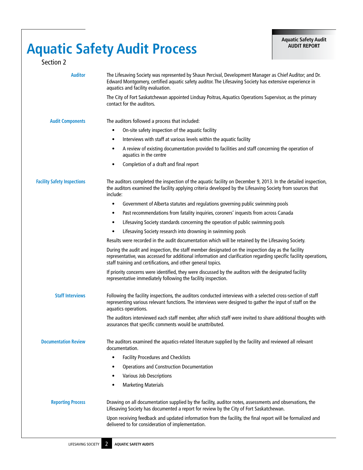## **Aquatic Safety Audit Process**

| Section 2                          |                                                                                                                                                                                                                                                                                         |
|------------------------------------|-----------------------------------------------------------------------------------------------------------------------------------------------------------------------------------------------------------------------------------------------------------------------------------------|
| <b>Auditor</b>                     | The Lifesaving Society was represented by Shaun Percival, Development Manager as Chief Auditor; and Dr.<br>Edward Montgomery, certified aquatic safety auditor. The Lifesaving Society has extensive experience in<br>aquatics and facility evaluation.                                 |
|                                    | The City of Fort Saskatchewan appointed Lindsay Poitras, Aquatics Operations Supervisor, as the primary<br>contact for the auditors.                                                                                                                                                    |
| <b>Audit Components</b>            | The auditors followed a process that included:                                                                                                                                                                                                                                          |
|                                    | On-site safety inspection of the aquatic facility<br>$\bullet$                                                                                                                                                                                                                          |
|                                    | Interviews with staff at various levels within the aquatic facility<br>$\bullet$                                                                                                                                                                                                        |
|                                    | A review of existing documentation provided to facilities and staff concerning the operation of<br>٠<br>aquatics in the centre                                                                                                                                                          |
|                                    | Completion of a draft and final report<br>$\bullet$                                                                                                                                                                                                                                     |
| <b>Facility Safety Inspections</b> | The auditors completed the inspection of the aquatic facility on December 9, 2013. In the detailed inspection,<br>the auditors examined the facility applying criteria developed by the Lifesaving Society from sources that<br>include:                                                |
|                                    | Government of Alberta statutes and regulations governing public swimming pools<br>$\bullet$                                                                                                                                                                                             |
|                                    | Past recommendations from fatality inquiries, coroners' inquests from across Canada<br>٠                                                                                                                                                                                                |
|                                    | Lifesaving Society standards concerning the operation of public swimming pools<br>$\bullet$                                                                                                                                                                                             |
|                                    | Lifesaving Society research into drowning in swimming pools<br>$\bullet$                                                                                                                                                                                                                |
|                                    | Results were recorded in the audit documentation which will be retained by the Lifesaving Society.                                                                                                                                                                                      |
|                                    | During the audit and inspection, the staff member designated on the inspection day as the facility<br>representative, was accessed for additional information and clarification regarding specific facility operations,<br>staff training and certifications, and other general topics. |
|                                    | If priority concerns were identified, they were discussed by the auditors with the designated facility<br>representative immediately following the facility inspection.                                                                                                                 |
| <b>Staff Interviews</b>            | Following the facility inspections, the auditors conducted interviews with a selected cross-section of staff<br>representing various relevant functions. The interviews were designed to gather the input of staff on the<br>aquatics operations.                                       |
|                                    | The auditors interviewed each staff member, after which staff were invited to share additional thoughts with<br>assurances that specific comments would be unattributed.                                                                                                                |
| <b>Documentation Review</b>        | The auditors examined the aquatics-related literature supplied by the facility and reviewed all relevant<br>documentation.                                                                                                                                                              |
|                                    | <b>Facility Procedures and Checklists</b><br>$\bullet$                                                                                                                                                                                                                                  |
|                                    | <b>Operations and Construction Documentation</b><br>$\bullet$                                                                                                                                                                                                                           |
|                                    | Various Job Descriptions<br>٠                                                                                                                                                                                                                                                           |
|                                    | <b>Marketing Materials</b>                                                                                                                                                                                                                                                              |
| <b>Reporting Process</b>           | Drawing on all documentation supplied by the facility, auditor notes, assessments and observations, the<br>Lifesaving Society has documented a report for review by the City of Fort Saskatchewan.                                                                                      |
|                                    | Upon receiving feedback and updated information from the facility, the final report will be formalized and<br>delivered to for consideration of implementation.                                                                                                                         |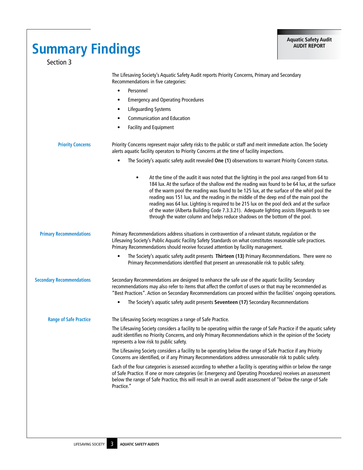| <b>Summary Findings</b><br>Section 3 |                                                                                                                                                                                                                                                                                                                                                                                                                                                                                                                                                                                                                                                                       | <b>Aquatic Safety Audit</b><br><b>AUDIT REPORT</b> |
|--------------------------------------|-----------------------------------------------------------------------------------------------------------------------------------------------------------------------------------------------------------------------------------------------------------------------------------------------------------------------------------------------------------------------------------------------------------------------------------------------------------------------------------------------------------------------------------------------------------------------------------------------------------------------------------------------------------------------|----------------------------------------------------|
|                                      | The Lifesaving Society's Aquatic Safety Audit reports Priority Concerns, Primary and Secondary<br>Recommendations in five categories:                                                                                                                                                                                                                                                                                                                                                                                                                                                                                                                                 |                                                    |
|                                      | Personnel<br>$\bullet$<br><b>Emergency and Operating Procedures</b><br>٠                                                                                                                                                                                                                                                                                                                                                                                                                                                                                                                                                                                              |                                                    |
|                                      | <b>Lifeguarding Systems</b><br>٠                                                                                                                                                                                                                                                                                                                                                                                                                                                                                                                                                                                                                                      |                                                    |
|                                      | <b>Communication and Education</b><br>$\bullet$                                                                                                                                                                                                                                                                                                                                                                                                                                                                                                                                                                                                                       |                                                    |
|                                      | Facility and Equipment<br>٠                                                                                                                                                                                                                                                                                                                                                                                                                                                                                                                                                                                                                                           |                                                    |
| <b>Priority Concerns</b>             | Priority Concerns represent major safety risks to the public or staff and merit immediate action. The Society<br>alerts aquatic facility operators to Priority Concerns at the time of facility inspections.                                                                                                                                                                                                                                                                                                                                                                                                                                                          |                                                    |
|                                      | The Society's aquatic safety audit revealed One (1) observations to warrant Priority Concern status.<br>$\bullet$                                                                                                                                                                                                                                                                                                                                                                                                                                                                                                                                                     |                                                    |
|                                      | At the time of the audit it was noted that the lighting in the pool area ranged from 64 to<br>٠<br>184 lux. At the surface of the shallow end the reading was found to be 64 lux, at the surface<br>of the warm pool the reading was found to be 125 lux, at the surface of the whirl pool the<br>reading was 151 lux, and the reading in the middle of the deep end of the main pool the<br>reading was 64 lux. Lighting is required to be 215 lux on the pool deck and at the surface<br>of the water (Alberta Building Code 7.3.3.21). Adequate lighting assists lifeguards to see<br>through the water column and helps reduce shadows on the bottom of the pool. |                                                    |
| <b>Primary Recommendations</b>       | Primary Recommendations address situations in contravention of a relevant statute, regulation or the<br>Lifesaving Society's Public Aquatic Facility Safety Standards on what constitutes reasonable safe practices.<br>Primary Recommendations should receive focused attention by facility management.                                                                                                                                                                                                                                                                                                                                                              |                                                    |
|                                      | The Society's aquatic safety audit presents Thirteen (13) Primary Recommendations. There were no<br>$\bullet$<br>Primary Recommendations identified that present an unreasonable risk to public safety.                                                                                                                                                                                                                                                                                                                                                                                                                                                               |                                                    |
| <b>Secondary Recommendations</b>     | Secondary Recommendations are designed to enhance the safe use of the aquatic facility. Secondary<br>recommendations may also refer to items that affect the comfort of users or that may be recommended as<br>"Best Practices". Action on Secondary Recommendations can proceed within the facilities' ongoing operations.                                                                                                                                                                                                                                                                                                                                           |                                                    |
|                                      | The Society's aquatic safety audit presents Seventeen (17) Secondary Recommendations                                                                                                                                                                                                                                                                                                                                                                                                                                                                                                                                                                                  |                                                    |
| <b>Range of Safe Practice</b>        | The Lifesaving Society recognizes a range of Safe Practice.                                                                                                                                                                                                                                                                                                                                                                                                                                                                                                                                                                                                           |                                                    |
|                                      | The Lifesaving Society considers a facility to be operating within the range of Safe Practice if the aquatic safety<br>audit identifies no Priority Concerns, and only Primary Recommendations which in the opinion of the Society<br>represents a low risk to public safety.                                                                                                                                                                                                                                                                                                                                                                                         |                                                    |
|                                      | The Lifesaving Society considers a facility to be operating below the range of Safe Practice if any Priority<br>Concerns are identified, or if any Primary Recommendations address unreasonable risk to public safety.                                                                                                                                                                                                                                                                                                                                                                                                                                                |                                                    |
|                                      | Each of the four categories is assessed according to whether a facility is operating within or below the range<br>of Safe Practice. If one or more categories (ie: Emergency and Operating Procedures) receives an assessment<br>below the range of Safe Practice, this will result in an overall audit assessment of "below the range of Safe<br>Practice."                                                                                                                                                                                                                                                                                                          |                                                    |
|                                      |                                                                                                                                                                                                                                                                                                                                                                                                                                                                                                                                                                                                                                                                       |                                                    |
|                                      |                                                                                                                                                                                                                                                                                                                                                                                                                                                                                                                                                                                                                                                                       |                                                    |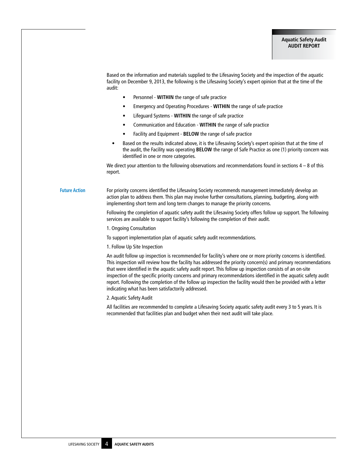Based on the information and materials supplied to the Lifesaving Society and the inspection of the aquatic facility on December 9, 2013, the following is the Lifesaving Society's expert opinion that at the time of the audit:

- Personnel **WITHIN** the range of safe practice
- Emergency and Operating Procedures **WITHIN** the range of safe practice
- Lifeguard Systems **WITHIN** the range of safe practice
- Communication and Education **WITHIN** the range of safe practice
- Facility and Equipment **BELOW** the range of safe practice
- Based on the results indicated above, it is the Lifesaving Society's expert opinion that at the time of the audit, the Facility was operating **BELOW** the range of Safe Practice as one (1) priority concern was identified in one or more categories.

We direct your attention to the following observations and recommendations found in sections  $4 - 8$  of this report.

**Future Action** For priority concerns identified the Lifesaving Society recommends management immediately develop an action plan to address them. This plan may involve further consultations, planning, budgeting, along with implementing short term and long term changes to manage the priority concerns.

> Following the completion of aquatic safety audit the Lifesaving Society offers follow up support. The following services are available to support facility's following the completion of their audit.

1. Ongoing Consultation

To support implementation plan of aquatic safety audit recommendations.

1. Follow Up Site Inspection

An audit follow up inspection is recommended for facility's where one or more priority concerns is identified. This inspection will review how the facility has addressed the priority concern(s) and primary recommendations that were identified in the aquatic safety audit report. This follow up inspection consists of an on-site inspection of the specific priority concerns and primary recommendations identified in the aquatic safety audit report. Following the completion of the follow up inspection the facility would then be provided with a letter indicating what has been satisfactorily addressed.

2. Aquatic Safety Audit

All facilities are recommended to complete a Lifesaving Society aquatic safety audit every 3 to 5 years. It is recommended that facilities plan and budget when their next audit will take place.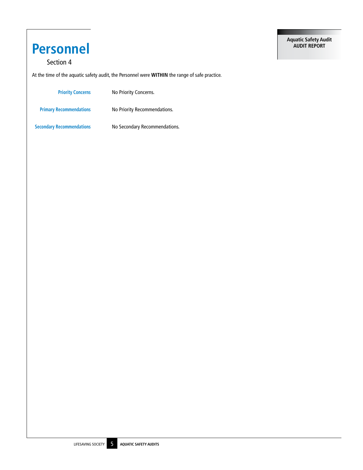## **Personnel**

## Section 4

At the time of the aquatic safety audit, the Personnel were **WITHIN** the range of safe practice.

| <b>Priority Concerns</b>         | No Priority Concerns.         |
|----------------------------------|-------------------------------|
| <b>Primary Recommendations</b>   | No Priority Recommendations.  |
| <b>Secondary Recommendations</b> | No Secondary Recommendations. |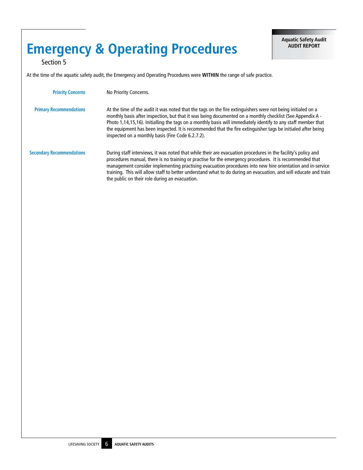## **Emergency & Operating Procedures**

Section 5

At the time of the aquatic safety audit, the Emergency and Operating Procedures were **WITHIN** the range of safe practice.

| <b>Priority Concerns</b>         | No Priority Concerns.                                                                                                                                                                                                                                                                                                                                                                                                                                                                                          |
|----------------------------------|----------------------------------------------------------------------------------------------------------------------------------------------------------------------------------------------------------------------------------------------------------------------------------------------------------------------------------------------------------------------------------------------------------------------------------------------------------------------------------------------------------------|
| <b>Primary Recommendations</b>   | At the time of the audit it was noted that the tags on the fire extinguishers were not being initialed on a<br>monthly basis after inspection, but that it was being documented on a monthly checklist (See Appendix A -<br>Photo 1,14,15,16). Initialling the tags on a monthly basis will immediately identify to any staff member that<br>the equipment has been inspected. It is recommended that the fire extinguisher tags be initialed after being<br>inspected on a monthly basis (Fire Code 6.2.7.2). |
| <b>Secondary Recommendations</b> | During staff interviews, it was noted that while their are evacuation procedures in the facility's policy and<br>procedures manual, there is no training or practise for the emergency procedures. It is recommended that<br>management consider implementing practising evacuation procedures into new hire orientation and in-service<br>training. This will allow staff to better understand what to do during an evacuation, and will educate and train<br>the public on their role during an evacuation.  |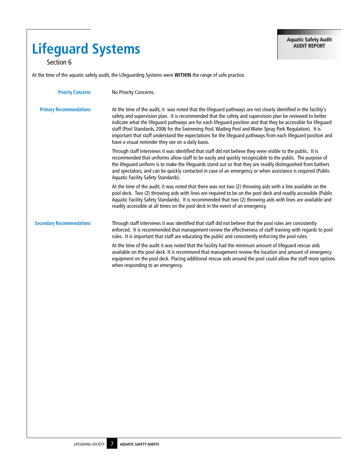## **Lifeguard Systems**

Section 6

At the time of the aquatic safety audit, the Lifeguarding Systems were **WITHIN** the range of safe practice.

| <b>Priority Concerns</b>         | No Priority Concerns.                                                                                                                                                                                                                                                                                                                                                                                                                                                                                                                                                                                                         |
|----------------------------------|-------------------------------------------------------------------------------------------------------------------------------------------------------------------------------------------------------------------------------------------------------------------------------------------------------------------------------------------------------------------------------------------------------------------------------------------------------------------------------------------------------------------------------------------------------------------------------------------------------------------------------|
| <b>Primary Recommendations</b>   | At the time of the audit, it was noted that the lifeguard pathways are not clearly identified in the facility's<br>safety and supervision plan. It is recommended that the safety and supervision plan be reviewed to better<br>indicate what the lifeguard pathways are for each lifeguard position and that they be accessible for lifeguard<br>staff (Pool Standards, 2006 for the Swimming Pool, Wading Pool and Water Spray Park Regulation). It is<br>important that staff understand the expectations for the lifeguard pathways from each lifeguard position and<br>have a visual reminder they see on a daily basis. |
|                                  | Through staff interviews it was identified that staff did not believe they were visible to the public. It is<br>recommended that uniforms allow staff to be easily and quickly recognizable to the public. The purpose of<br>the lifequard uniform is to make the lifequards stand out so that they are readily distinguished from bathers<br>and spectators, and can be quickly contacted in case of an emergency or when assistance is required (Public<br>Aquatic Facility Safety Standards).                                                                                                                              |
|                                  | At the time of the audit, it was noted that there was not two (2) throwing aids with a line available on the<br>pool deck. Two (2) throwing aids with lines are required to be on the pool deck and readily accessible (Public<br>Aquatic Facility Safety Standards). It is recommended that two (2) throwing aids with lines are available and<br>readily accessible at all times on the pool deck in the event of an emergency.                                                                                                                                                                                             |
| <b>Secondary Recommendations</b> | Through staff interviews it was identified that staff did not believe that the pool rules are consistently<br>enforced. It is recommended that management review the effectiveness of staff training with regards to pool<br>rules. It is important that staff are educating the public and consistently enforcing the pool rules.                                                                                                                                                                                                                                                                                            |
|                                  | At the time of the audit it was noted that the facility had the minimum amount of lifeguard rescue aids<br>available on the pool deck. It is recommend that management review the location and amount of emergency<br>equipment on the pool deck. Placing additional rescue aids around the pool could allow the staff more options<br>when responding to an emergency.                                                                                                                                                                                                                                                       |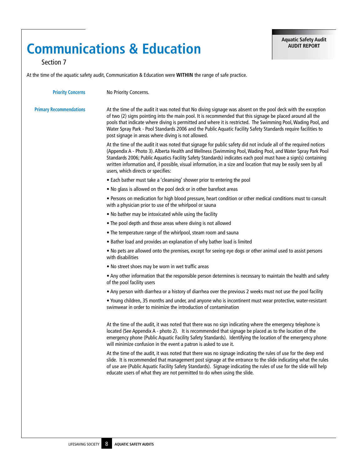## **Communications & Education**

Section 7

| <b>Priority Concerns</b>       | No Priority Concerns.                                                                                                                                                                                                                                                                                                                                                                                                                                                                                             |
|--------------------------------|-------------------------------------------------------------------------------------------------------------------------------------------------------------------------------------------------------------------------------------------------------------------------------------------------------------------------------------------------------------------------------------------------------------------------------------------------------------------------------------------------------------------|
| <b>Primary Recommendations</b> | At the time of the audit it was noted that No diving signage was absent on the pool deck with the exception<br>of two (2) signs pointing into the main pool. It is recommended that this signage be placed around all the<br>pools that indicate where diving is permitted and where it is restricted. The Swimming Pool, Wading Pool, and<br>Water Spray Park - Pool Standards 2006 and the Public Aquatic Facility Safety Standards require facilities to<br>post signage in areas where diving is not allowed. |
|                                | At the time of the audit it was noted that signage for public safety did not include all of the required notices<br>(Appendix A - Photo 3). Alberta Health and Wellness (Swimming Pool, Wading Pool, and Water Spray Park Pool<br>Standards 2006; Public Aquatics Facility Safety Standards) indicates each pool must have a sign(s) containing<br>written information and, if possible, visual information, in a size and location that may be easily seen by all<br>users, which directs or specifies:          |
|                                | • Each bather must take a 'cleansing' shower prior to entering the pool                                                                                                                                                                                                                                                                                                                                                                                                                                           |
|                                | . No glass is allowed on the pool deck or in other barefoot areas                                                                                                                                                                                                                                                                                                                                                                                                                                                 |
|                                | . Persons on medication for high blood pressure, heart condition or other medical conditions must to consult<br>with a physician prior to use of the whirlpool or sauna                                                                                                                                                                                                                                                                                                                                           |
|                                | . No bather may be intoxicated while using the facility                                                                                                                                                                                                                                                                                                                                                                                                                                                           |
|                                | . The pool depth and those areas where diving is not allowed                                                                                                                                                                                                                                                                                                                                                                                                                                                      |
|                                | • The temperature range of the whirlpool, steam room and sauna                                                                                                                                                                                                                                                                                                                                                                                                                                                    |
|                                | • Bather load and provides an explanation of why bather load is limited                                                                                                                                                                                                                                                                                                                                                                                                                                           |
|                                | . No pets are allowed onto the premises, except for seeing eye dogs or other animal used to assist persons<br>with disabilities                                                                                                                                                                                                                                                                                                                                                                                   |
|                                | . No street shoes may be worn in wet traffic areas                                                                                                                                                                                                                                                                                                                                                                                                                                                                |
|                                | . Any other information that the responsible person determines is necessary to maintain the health and safety<br>of the pool facility users                                                                                                                                                                                                                                                                                                                                                                       |
|                                | . Any person with diarrhea or a history of diarrhea over the previous 2 weeks must not use the pool facility                                                                                                                                                                                                                                                                                                                                                                                                      |
|                                | . Young children, 35 months and under, and anyone who is incontinent must wear protective, water-resistant<br>swimwear in order to minimize the introduction of contamination                                                                                                                                                                                                                                                                                                                                     |
|                                | At the time of the audit, it was noted that there was no sign indicating where the emergency telephone is<br>located (See Appendix A - photo 2). It is recommended that signage be placed as to the location of the<br>emergency phone (Public Aquatic Facility Safety Standards). Identifying the location of the emergency phone<br>will minimize confusion in the event a patron is asked to use it.                                                                                                           |
|                                | At the time of the audit, it was noted that there was no signage indicating the rules of use for the deep end<br>slide. It is recommended that management post signage at the entrance to the slide indicating what the rules<br>of use are (Public Aquatic Facility Safety Standards). Signage indicating the rules of use for the slide will help<br>educate users of what they are not permitted to do when using the slide.                                                                                   |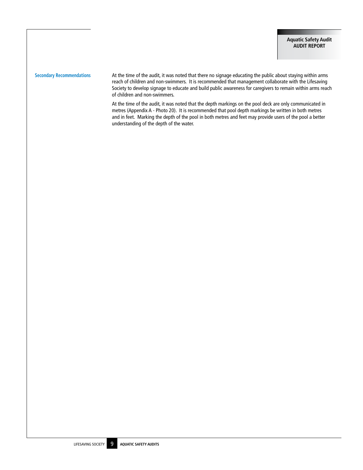Secondary Recommendations **At the time of the audit, it was noted that there no signage educating the public about staying within arms** reach of children and non-swimmers. It is recommended that management collaborate with the Lifesaving Society to develop signage to educate and build public awareness for caregivers to remain within arms reach of children and non-swimmers.

> At the time of the audit, it was noted that the depth markings on the pool deck are only communicated in metres (Appendix A - Photo 20). It is recommended that pool depth markings be written in both metres and in feet. Marking the depth of the pool in both metres and feet may provide users of the pool a better understanding of the depth of the water.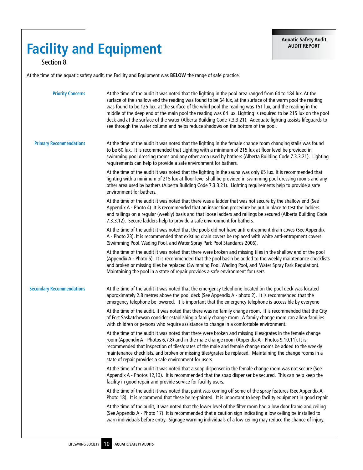## **Facility and Equipment**

Section 8

At the time of the aquatic safety audit, the Facility and Equipment was **BELOW** the range of safe practice.

| <b>Priority Concerns</b>         | At the time of the audit it was noted that the lighting in the pool area ranged from 64 to 184 lux. At the                                                                                                                                                                                                                                                                                                                                                                                                                                      |
|----------------------------------|-------------------------------------------------------------------------------------------------------------------------------------------------------------------------------------------------------------------------------------------------------------------------------------------------------------------------------------------------------------------------------------------------------------------------------------------------------------------------------------------------------------------------------------------------|
|                                  | surface of the shallow end the reading was found to be 64 lux, at the surface of the warm pool the reading<br>was found to be 125 lux, at the surface of the whirl pool the reading was 151 lux, and the reading in the<br>middle of the deep end of the main pool the reading was 64 lux. Lighting is required to be 215 lux on the pool<br>deck and at the surface of the water (Alberta Building Code 7.3.3.21). Adequate lighting assists lifequards to<br>see through the water column and helps reduce shadows on the bottom of the pool. |
| <b>Primary Recommendations</b>   | At the time of the audit it was noted that the lighting in the female change room changing stalls was found<br>to be 60 lux. It is recommended that Lighting with a minimum of 215 lux at floor level be provided in<br>swimming pool dressing rooms and any other area used by bathers (Alberta Building Code 7.3.3.21). Lighting<br>requirements can help to provide a safe environment for bathers.                                                                                                                                          |
|                                  | At the time of the audit it was noted that the lighting in the sauna was only 65 lux. It is recommended that<br>lighting with a minimum of 215 lux at floor level shall be provided in swimming pool dressing rooms and any<br>other area used by bathers (Alberta Building Code 7.3.3.21). Lighting requirements help to provide a safe<br>environment for bathers.                                                                                                                                                                            |
|                                  | At the time of the audit it was noted that there was a ladder that was not secure by the shallow end (See<br>Appendix A - Photo 4). It is recommended that an inspection procedure be put in place to test the ladders<br>and railings on a regular (weekly) basis and that loose ladders and railings be secured (Alberta Building Code<br>7.3.3.12). Secure ladders help to provide a safe environment for bathers.                                                                                                                           |
|                                  | At the time of the audit it was noted that the pools did not have anti-entrapment drain coves (See Appendix<br>A - Photo 23). It is recommended that existing drain covers be replaced with white anti-entrapment covers<br>(Swimming Pool, Wading Pool, and Water Spray Park Pool Standards 2006).                                                                                                                                                                                                                                             |
|                                  | At the time of the audit it was noted that there were broken and missing tiles in the shallow end of the pool<br>(Appendix A - Photo 5). It is recommended that the pool basin be added to the weekly maintenance checklists<br>and broken or missing tiles be replaced (Swimming Pool, Wading Pool, and Water Spray Park Regulation).<br>Maintaining the pool in a state of repair provides a safe environment for users.                                                                                                                      |
| <b>Secondary Recommendations</b> | At the time of the audit it was noted that the emergency telephone located on the pool deck was located<br>approximately 2.8 metres above the pool deck (See Appendix A - photo 2). It is recommended that the<br>emergency telephone be lowered. It is important that the emergency telephone is accessible by everyone                                                                                                                                                                                                                        |
|                                  | At the time of the audit, it was noted that there was no family change room. It is recommended that the City<br>of Fort Saskatchewan consider establishing a family change room. A family change room can allow families<br>with children or persons who require assistance to change in a comfortable environment.                                                                                                                                                                                                                             |
|                                  | At the time of the audit it was noted that there were broken and missing tiles/grates in the female change<br>room (Appendix A - Photos 6,7,8) and in the male change room (Appendix A - Photos 9,10,11). It is<br>recommended that inspection of tiles/grates of the male and female change rooms be added to the weekly<br>maintenance checklists, and broken or missing tiles/grates be replaced. Maintaining the change rooms in a<br>state of repair provides a safe environment for users.                                                |
|                                  | At the time of the audit it was noted that a soap dispenser in the female change room was not secure (See<br>Appendix A - Photos 12,13). It is recommended that the soap dispenser be secured. This can help keep the<br>facility in good repair and provide service for facility users.                                                                                                                                                                                                                                                        |
|                                  | At the time of the audit it was noted that paint was coming off some of the spray features (See Appendix A -<br>Photo 18). It is recommend that these be re-painted. It is important to keep facility equipment in good repair.                                                                                                                                                                                                                                                                                                                 |
|                                  | At the time of the audit, it was noted that the lower level of the filter room had a low door frame and ceiling<br>(See Appendix A - Photo 17) It is recommended that a caution sign indicating a low ceiling be installed to<br>warn individuals before entry. Signage warning individuals of a low ceiling may reduce the chance of injury.                                                                                                                                                                                                   |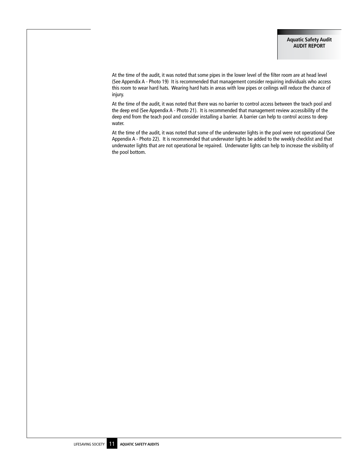At the time of the audit, it was noted that some pipes in the lower level of the filter room are at head level (See Appendix A - Photo 19) It is recommended that management consider requiring individuals who access this room to wear hard hats. Wearing hard hats in areas with low pipes or ceilings will reduce the chance of injury.

At the time of the audit, it was noted that there was no barrier to control access between the teach pool and the deep end (See Appendix A - Photo 21). It is recommended that management review accessibility of the deep end from the teach pool and consider installing a barrier. A barrier can help to control access to deep water.

At the time of the audit, it was noted that some of the underwater lights in the pool were not operational (See Appendix A - Photo 22). It is recommended that underwater lights be added to the weekly checklist and that underwater lights that are not operational be repaired. Underwater lights can help to increase the visibility of the pool bottom.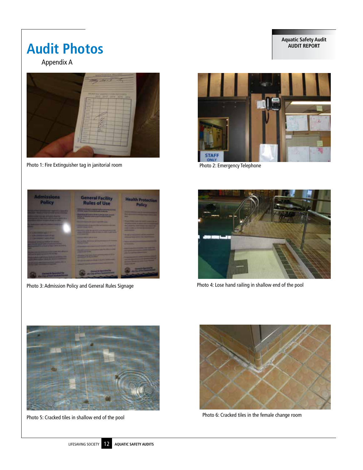## **Aquatic Safety Audit**

## **Audit Photos**

Appendix A



Photo 1: Fire Extinguisher tag in janitorial room extendio produced a photo 2: Emergency Telephone







Photo 3: Admission Policy and General Rules Signage Photo 4: Lose hand railing in shallow end of the pool



Photo 5: Cracked tiles in shallow end of the pool Photo 6: Cracked tiles in the female change room

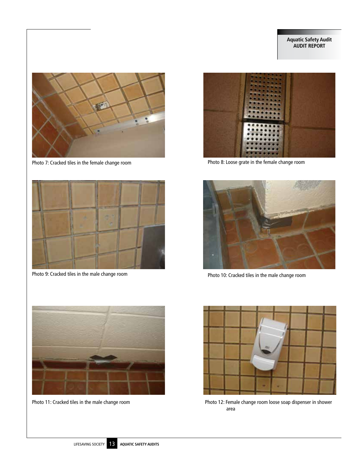

Photo 7: Cracked tiles in the female change room **Photo 8:** Loose grate in the female change room



Photo 9: Cracked tiles in the male change room





Photo 10: Cracked tiles in the male change room



Photo 11: Cracked tiles in the male change room



Photo 12: Female change room loose soap dispenser in shower area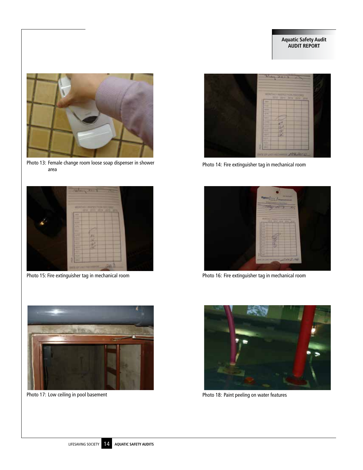

Photo 13: Female change room loose soap dispenser in shower area





Photo 14: Fire extinguisher tag in mechanical room



Photo 15: Fire extinguisher tag in mechanical room Photo 16: Fire extinguisher tag in mechanical room





Photo 17: Low ceiling in pool basement **Photo 18: Paint peeling on water features**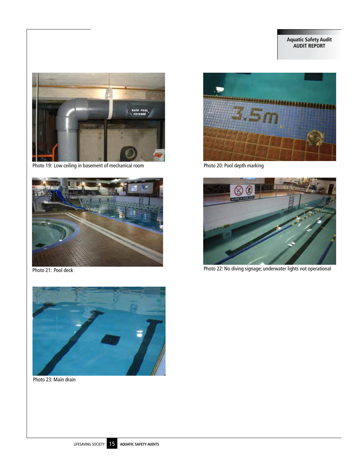## **Aquatic Safety Audit AUDIT REPORT**



Photo 19: Low ceiling in basement of mechanical room Photo 20: Pool depth marking







Photo 21: Pool deck Photo 22: No diving signage; underwater lights not operational



Photo 23: Main drain